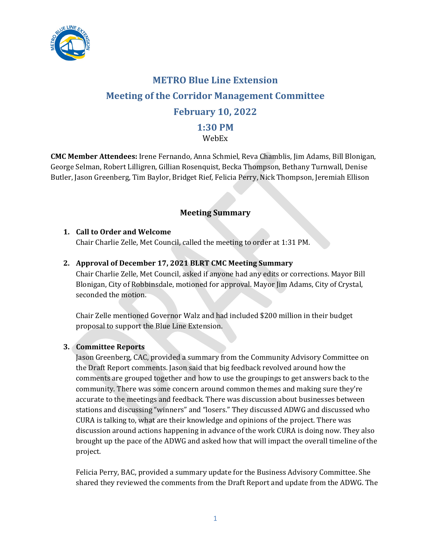

# **METRO Blue Line Extension Meeting of the Corridor Management Committee February 10, 2022 1:30 PM**

# WebEx

**CMC Member Attendees:** Irene Fernando, Anna Schmiel, Reva Chamblis, Jim Adams, Bill Blonigan, George Selman, Robert Lilligren, Gillian Rosenquist, Becka Thompson, Bethany Turnwall, Denise Butler, Jason Greenberg, Tim Baylor, Bridget Rief, Felicia Perry, Nick Thompson, Jeremiah Ellison

# **Meeting Summary**

## **1. Call to Order and Welcome**

Chair Charlie Zelle, Met Council, called the meeting to order at 1:31 PM.

## **2. Approval of December 17, 2021 BLRT CMC Meeting Summary**

Chair Charlie Zelle, Met Council, asked if anyone had any edits or corrections. Mayor Bill Blonigan, City of Robbinsdale, motioned for approval. Mayor Jim Adams, City of Crystal, seconded the motion.

Chair Zelle mentioned Governor Walz and had included \$200 million in their budget proposal to support the Blue Line Extension.

#### **3. Committee Reports**

Jason Greenberg, CAC, provided a summary from the Community Advisory Committee on the Draft Report comments. Jason said that big feedback revolved around how the comments are grouped together and how to use the groupings to get answers back to the community. There was some concern around common themes and making sure they're accurate to the meetings and feedback. There was discussion about businesses between stations and discussing "winners" and "losers." They discussed ADWG and discussed who CURA is talking to, what are their knowledge and opinions of the project. There was discussion around actions happening in advance of the work CURA is doing now. They also brought up the pace of the ADWG and asked how that will impact the overall timeline of the project.

Felicia Perry, BAC, provided a summary update for the Business Advisory Committee. She shared they reviewed the comments from the Draft Report and update from the ADWG. The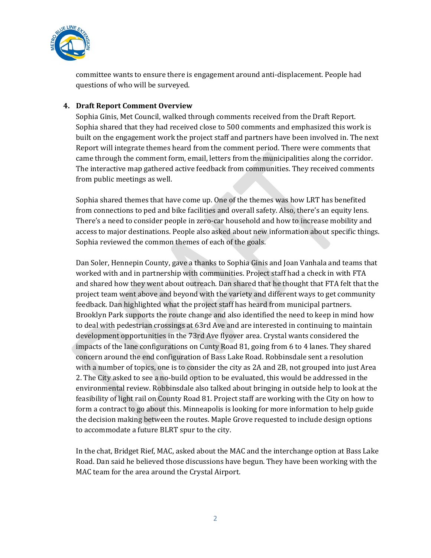

committee wants to ensure there is engagement around anti-displacement. People had questions of who will be surveyed.

#### **4. Draft Report Comment Overview**

Sophia Ginis, Met Council, walked through comments received from the Draft Report. Sophia shared that they had received close to 500 comments and emphasized this work is built on the engagement work the project staff and partners have been involved in. The next Report will integrate themes heard from the comment period. There were comments that came through the comment form, email, letters from the municipalities along the corridor. The interactive map gathered active feedback from communities. They received comments from public meetings as well.

Sophia shared themes that have come up. One of the themes was how LRT has benefited from connections to ped and bike facilities and overall safety. Also, there's an equity lens. There's a need to consider people in zero-car household and how to increase mobility and access to major destinations. People also asked about new information about specific things. Sophia reviewed the common themes of each of the goals.

Dan Soler, Hennepin County, gave a thanks to Sophia Ginis and Joan Vanhala and teams that worked with and in partnership with communities. Project staff had a check in with FTA and shared how they went about outreach. Dan shared that he thought that FTA felt that the project team went above and beyond with the variety and different ways to get community feedback. Dan highlighted what the project staff has heard from municipal partners. Brooklyn Park supports the route change and also identified the need to keep in mind how to deal with pedestrian crossings at 63rd Ave and are interested in continuing to maintain development opportunities in the 73rd Ave flyover area. Crystal wants considered the impacts of the lane configurations on Cunty Road 81, going from 6 to 4 lanes. They shared concern around the end configuration of Bass Lake Road. Robbinsdale sent a resolution with a number of topics, one is to consider the city as 2A and 2B, not grouped into just Area 2. The City asked to see a no-build option to be evaluated, this would be addressed in the environmental review. Robbinsdale also talked about bringing in outside help to look at the feasibility of light rail on County Road 81. Project staff are working with the City on how to form a contract to go about this. Minneapolis is looking for more information to help guide the decision making between the routes. Maple Grove requested to include design options to accommodate a future BLRT spur to the city.

In the chat, Bridget Rief, MAC, asked about the MAC and the interchange option at Bass Lake Road. Dan said he believed those discussions have begun. They have been working with the MAC team for the area around the Crystal Airport.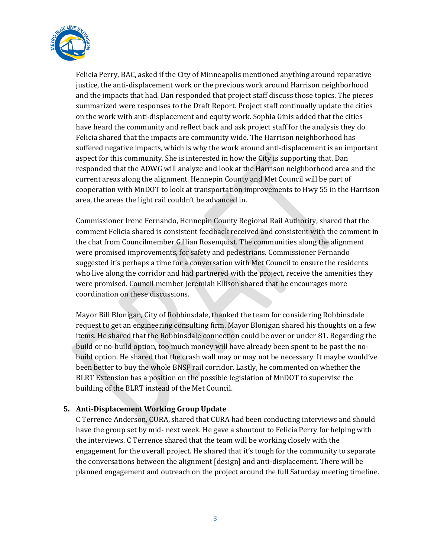

Felicia Perry, BAC, asked if the City of Minneapolis mentioned anything around reparative justice, the anti-displacement work or the previous work around Harrison neighborhood and the impacts that had. Dan responded that project staff discuss those topics. The pieces summarized were responses to the Draft Report. Project staff continually update the cities on the work with anti-displacement and equity work. Sophia Ginis added that the cities have heard the community and reflect back and ask project staff for the analysis they do. Felicia shared that the impacts are community wide. The Harrison neighborhood has suffered negative impacts, which is why the work around anti-displacement is an important aspect for this community. She is interested in how the City is supporting that. Dan responded that the ADWG will analyze and look at the Harrison neighborhood area and the current areas along the alignment. Hennepin County and Met Council will be part of cooperation with MnDOT to look at transportation improvements to Hwy 55 in the Harrison area, the areas the light rail couldn't be advanced in.

Commissioner Irene Fernando, Hennepin County Regional Rail Authority, shared that the comment Felicia shared is consistent feedback received and consistent with the comment in the chat from Councilmember Gillian Rosenquist. The communities along the alignment were promised improvements, for safety and pedestrians. Commissioner Fernando suggested it's perhaps a time for a conversation with Met Council to ensure the residents who live along the corridor and had partnered with the project, receive the amenities they were promised. Council member Jeremiah Ellison shared that he encourages more coordination on these discussions.

Mayor Bill Blonigan, City of Robbinsdale, thanked the team for considering Robbinsdale request to get an engineering consulting firm. Mayor Blonigan shared his thoughts on a few items. He shared that the Robbinsdale connection could be over or under 81. Regarding the build or no-build option, too much money will have already been spent to be past the nobuild option. He shared that the crash wall may or may not be necessary. It maybe would've been better to buy the whole BNSF rail corridor. Lastly, he commented on whether the BLRT Extension has a position on the possible legislation of MnDOT to supervise the building of the BLRT instead of the Met Council.

#### **5. Anti-Displacement Working Group Update**

C Terrence Anderson, CURA, shared that CURA had been conducting interviews and should have the group set by mid- next week. He gave a shoutout to Felicia Perry for helping with the interviews. C Terrence shared that the team will be working closely with the engagement for the overall project. He shared that it's tough for the community to separate the conversations between the alignment [design] and anti-displacement. There will be planned engagement and outreach on the project around the full Saturday meeting timeline.